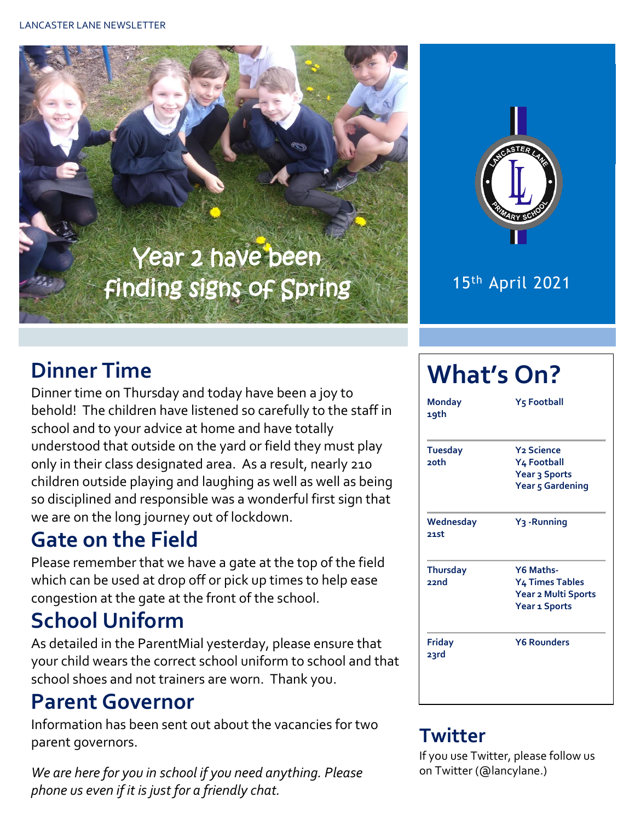



#### 15th April 2021

## **Dinner Time**

Dinner time on Thursday and today have been a joy to behold! The children have listened so carefully to the staff in school and to your advice at home and have totally understood that outside on the yard or field they must play only in their class designated area. As a result, nearly 210 children outside playing and laughing as well as well as being so disciplined and responsible was a wonderful first sign that we are on the long journey out of lockdown.

## **Gate on the Field**

Please remember that we have a gate at the top of the field which can be used at drop off or pick up times to help ease congestion at the gate at the front of the school.

## **School Uniform**

As detailed in the ParentMial yesterday, please ensure that your child wears the correct school uniform to school and that school shoes and not trainers are worn. Thank you.

#### **Parent Governor**

Information has been sent out about the vacancies for two parent governors.

*We are here for you in school if you need anything. Please phone us even if it is just for a friendly chat.* 

# **What's On?**

| <b>Monday</b><br>19th          | <b>Y<sub>5</sub> Football</b>                                                      |  |  |  |  |
|--------------------------------|------------------------------------------------------------------------------------|--|--|--|--|
| <b>Tuesday</b><br><b>20th</b>  | <b>Y<sub>2</sub></b> Science<br>Y4 Football<br>Year 3 Sports<br>Year 5 Gardening   |  |  |  |  |
| Wednesday<br>21.st             | Y <sub>3</sub> -Running                                                            |  |  |  |  |
| <b>Thursday</b><br><b>bucc</b> | Y6 Maths-<br><b>Y4 Times Tables</b><br>Year 2 Multi Sports<br><b>Year 1 Sports</b> |  |  |  |  |
| <b>Friday</b><br>23rd          | <b>Y6 Rounders</b>                                                                 |  |  |  |  |

#### **Twitter**

If you use Twitter, please follow us on Twitter (@lancylane.)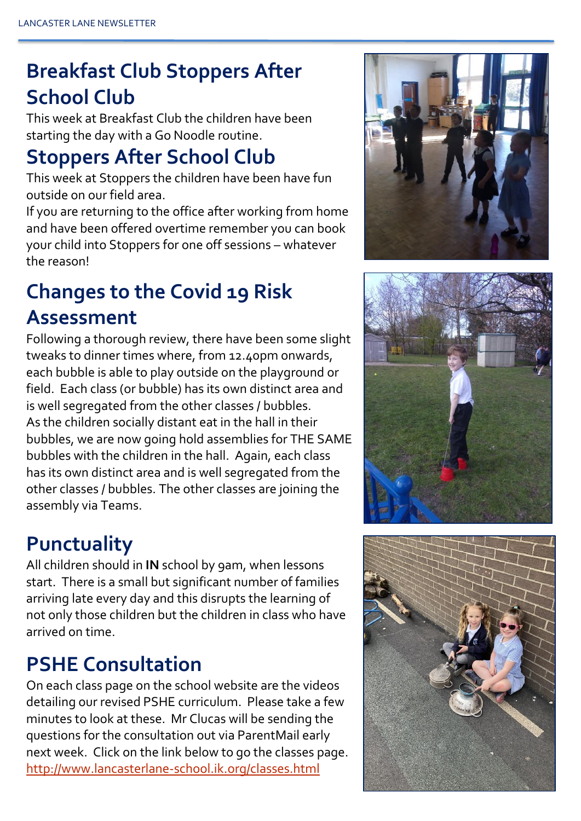## **Breakfast Club Stoppers After School Club**

This week at Breakfast Club the children have been starting the day with a Go Noodle routine.

### **Stoppers After School Club**

This week at Stoppers the children have been have fun outside on our field area.

If you are returning to the office after working from home and have been offered overtime remember you can book your child into Stoppers for one off sessions – whatever the reason!

## **Changes to the Covid 19 Risk Assessment**

Following a thorough review, there have been some slight tweaks to dinner times where, from 12.40pm onwards, each bubble is able to play outside on the playground or field. Each class (or bubble) has its own distinct area and is well segregated from the other classes / bubbles. As the children socially distant eat in the hall in their bubbles, we are now going hold assemblies for THE SAME bubbles with the children in the hall. Again, each class has its own distinct area and is well segregated from the other classes / bubbles. The other classes are joining the assembly via Teams.

#### **Punctuality**

All children should in **IN** school by 9am, when lessons start. There is a small but significant number of families arriving late every day and this disrupts the learning of not only those children but the children in class who have arrived on time.

## **PSHE Consultation**

On each class page on the school website are the videos detailing our revised PSHE curriculum. Please take a few minutes to look at these. Mr Clucas will be sending the questions for the consultation out via ParentMail early next week. Click on the link below to go the classes page. <http://www.lancasterlane-school.ik.org/classes.html>